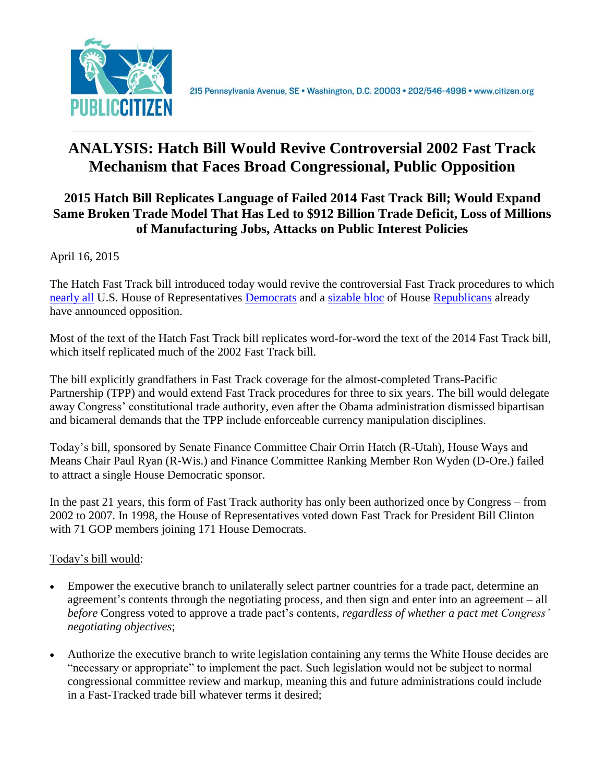

# **ANALYSIS: Hatch Bill Would Revive Controversial 2002 Fast Track Mechanism that Faces Broad Congressional, Public Opposition**

#### **2015 Hatch Bill Replicates Language of Failed 2014 Fast Track Bill; Would Expand Same Broken Trade Model That Has Led to \$912 Billion Trade Deficit, Loss of Millions of Manufacturing Jobs, Attacks on Public Interest Policies**

April 16, 2015

The Hatch Fast Track bill introduced today would revive the controversial Fast Track procedures to which [nearly all](http://delauro.house.gov/index.php?option=com_content&view=article&id=1455:delauro-miller-lead-151-house-dems-telling-president-they-will-not-support-outdated-fast-track-for-trans-pacific-partnership&catid=2:2012-press-releases&Itemid=21) U.S. House of Representatives [Democrats](http://www.citizen.org/documents/gallego-fast-track-letter-january-2015.pdf) and a [sizable bloc](http://jones.house.gov/press-release/gop-house-members-oppose-fast-track-trade-promotion-authority) of House [Republicans](http://www.citizen.org/documents/joyce-fast-track-letter.pdf) already have announced opposition.

Most of the text of the Hatch Fast Track bill replicates word-for-word the text of the 2014 Fast Track bill, which itself replicated much of the 2002 Fast Track bill.

The bill explicitly grandfathers in Fast Track coverage for the almost-completed Trans-Pacific Partnership (TPP) and would extend Fast Track procedures for three to six years. The bill would delegate away Congress' constitutional trade authority, even after the Obama administration dismissed bipartisan and bicameral demands that the TPP include enforceable currency manipulation disciplines.

Today's bill, sponsored by Senate Finance Committee Chair Orrin Hatch (R-Utah), House Ways and Means Chair Paul Ryan (R-Wis.) and Finance Committee Ranking Member Ron Wyden (D-Ore.) failed to attract a single House Democratic sponsor.

In the past 21 years, this form of Fast Track authority has only been authorized once by Congress – from 2002 to 2007. In 1998, the House of Representatives voted down Fast Track for President Bill Clinton with 71 GOP members joining 171 House Democrats.

#### Today's bill would:

- Empower the executive branch to unilaterally select partner countries for a trade pact, determine an agreement's contents through the negotiating process, and then sign and enter into an agreement – all *before* Congress voted to approve a trade pact's contents, *regardless of whether a pact met Congress' negotiating objectives*;
- Authorize the executive branch to write legislation containing any terms the White House decides are "necessary or appropriate" to implement the pact. Such legislation would not be subject to normal congressional committee review and markup, meaning this and future administrations could include in a Fast-Tracked trade bill whatever terms it desired;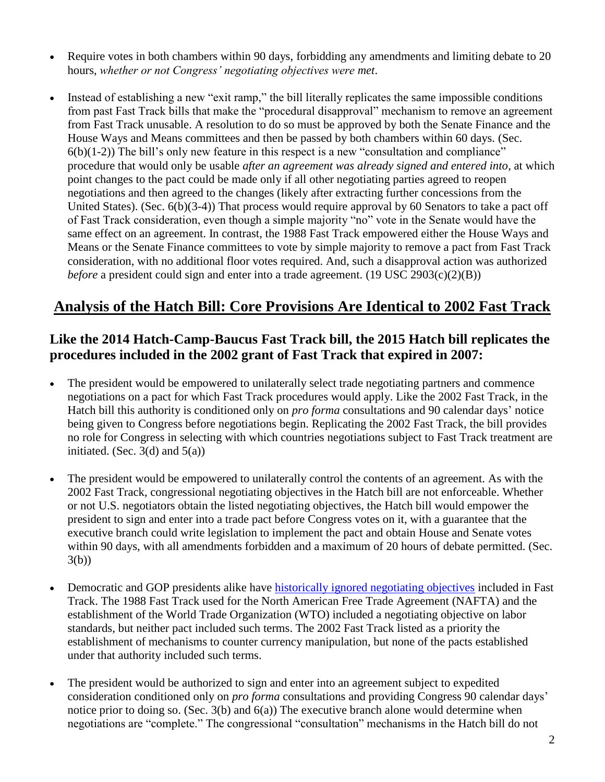- Require votes in both chambers within 90 days, forbidding any amendments and limiting debate to 20 hours, *whether or not Congress' negotiating objectives were met*.
- Instead of establishing a new "exit ramp," the bill literally replicates the same impossible conditions from past Fast Track bills that make the "procedural disapproval" mechanism to remove an agreement from Fast Track unusable. A resolution to do so must be approved by both the Senate Finance and the House Ways and Means committees and then be passed by both chambers within 60 days. (Sec.  $6(b)(1-2)$ ) The bill's only new feature in this respect is a new "consultation and compliance" procedure that would only be usable *after an agreement was already signed and entered into*, at which point changes to the pact could be made only if all other negotiating parties agreed to reopen negotiations and then agreed to the changes (likely after extracting further concessions from the United States). (Sec. 6(b)(3-4)) That process would require approval by 60 Senators to take a pact off of Fast Track consideration, even though a simple majority "no" vote in the Senate would have the same effect on an agreement. In contrast, the 1988 Fast Track empowered either the House Ways and Means or the Senate Finance committees to vote by simple majority to remove a pact from Fast Track consideration, with no additional floor votes required. And, such a disapproval action was authorized *before* a president could sign and enter into a trade agreement. (19 USC 2903(c)(2)(B))

# **Analysis of the Hatch Bill: Core Provisions Are Identical to 2002 Fast Track**

# **Like the 2014 Hatch-Camp-Baucus Fast Track bill, the 2015 Hatch bill replicates the procedures included in the 2002 grant of Fast Track that expired in 2007:**

- The president would be empowered to unilaterally select trade negotiating partners and commence negotiations on a pact for which Fast Track procedures would apply. Like the 2002 Fast Track, in the Hatch bill this authority is conditioned only on *pro forma* consultations and 90 calendar days' notice being given to Congress before negotiations begin. Replicating the 2002 Fast Track, the bill provides no role for Congress in selecting with which countries negotiations subject to Fast Track treatment are initiated. (Sec.  $3(d)$  and  $5(a)$ )
- The president would be empowered to unilaterally control the contents of an agreement. As with the 2002 Fast Track, congressional negotiating objectives in the Hatch bill are not enforceable. Whether or not U.S. negotiators obtain the listed negotiating objectives, the Hatch bill would empower the president to sign and enter into a trade pact before Congress votes on it, with a guarantee that the executive branch could write legislation to implement the pact and obtain House and Senate votes within 90 days, with all amendments forbidden and a maximum of 20 hours of debate permitted. (Sec. 3(b))
- Democratic and GOP presidents alike have [historically ignored negotiating objectives](http://www.citizen.org/documents/no-acceptable-fast-track.pdf) included in Fast Track. The 1988 Fast Track used for the North American Free Trade Agreement (NAFTA) and the establishment of the World Trade Organization (WTO) included a negotiating objective on labor standards, but neither pact included such terms. The 2002 Fast Track listed as a priority the establishment of mechanisms to counter currency manipulation, but none of the pacts established under that authority included such terms.
- The president would be authorized to sign and enter into an agreement subject to expedited consideration conditioned only on *pro forma* consultations and providing Congress 90 calendar days' notice prior to doing so. (Sec. 3(b) and 6(a)) The executive branch alone would determine when negotiations are "complete." The congressional "consultation" mechanisms in the Hatch bill do not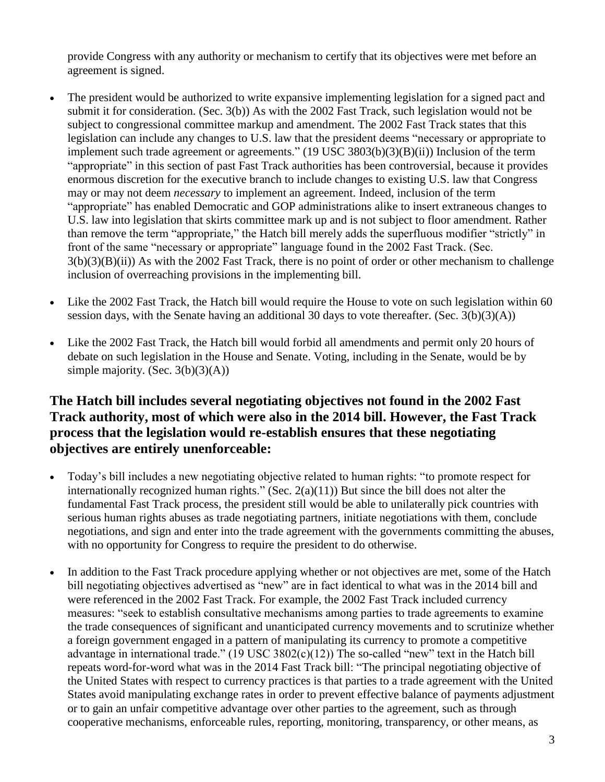provide Congress with any authority or mechanism to certify that its objectives were met before an agreement is signed.

- The president would be authorized to write expansive implementing legislation for a signed pact and submit it for consideration. (Sec. 3(b)) As with the 2002 Fast Track, such legislation would not be subject to congressional committee markup and amendment. The 2002 Fast Track states that this legislation can include any changes to U.S. law that the president deems "necessary or appropriate to implement such trade agreement or agreements." (19 USC 3803(b)(3)(B)(ii)) Inclusion of the term "appropriate" in this section of past Fast Track authorities has been controversial, because it provides enormous discretion for the executive branch to include changes to existing U.S. law that Congress may or may not deem *necessary* to implement an agreement. Indeed, inclusion of the term "appropriate" has enabled Democratic and GOP administrations alike to insert extraneous changes to U.S. law into legislation that skirts committee mark up and is not subject to floor amendment. Rather than remove the term "appropriate," the Hatch bill merely adds the superfluous modifier "strictly" in front of the same "necessary or appropriate" language found in the 2002 Fast Track. (Sec. 3(b)(3)(B)(ii)) As with the 2002 Fast Track, there is no point of order or other mechanism to challenge inclusion of overreaching provisions in the implementing bill.
- Like the 2002 Fast Track, the Hatch bill would require the House to vote on such legislation within 60 session days, with the Senate having an additional 30 days to vote thereafter. (Sec. 3(b)(3)(A))
- Like the 2002 Fast Track, the Hatch bill would forbid all amendments and permit only 20 hours of debate on such legislation in the House and Senate. Voting, including in the Senate, would be by simple majority. (Sec. 3(b)(3)(A))

#### **The Hatch bill includes several negotiating objectives not found in the 2002 Fast Track authority, most of which were also in the 2014 bill. However, the Fast Track process that the legislation would re-establish ensures that these negotiating objectives are entirely unenforceable:**

- Today's bill includes a new negotiating objective related to human rights: "to promote respect for internationally recognized human rights." (Sec. 2(a)(11)) But since the bill does not alter the fundamental Fast Track process, the president still would be able to unilaterally pick countries with serious human rights abuses as trade negotiating partners, initiate negotiations with them, conclude negotiations, and sign and enter into the trade agreement with the governments committing the abuses, with no opportunity for Congress to require the president to do otherwise.
- In addition to the Fast Track procedure applying whether or not objectives are met, some of the Hatch bill negotiating objectives advertised as "new" are in fact identical to what was in the 2014 bill and were referenced in the 2002 Fast Track. For example, the 2002 Fast Track included currency measures: "seek to establish consultative mechanisms among parties to trade agreements to examine the trade consequences of significant and unanticipated currency movements and to scrutinize whether a foreign government engaged in a pattern of manipulating its currency to promote a competitive advantage in international trade." (19 USC 3802(c)(12)) The so-called "new" text in the Hatch bill repeats word-for-word what was in the 2014 Fast Track bill: "The principal negotiating objective of the United States with respect to currency practices is that parties to a trade agreement with the United States avoid manipulating exchange rates in order to prevent effective balance of payments adjustment or to gain an unfair competitive advantage over other parties to the agreement, such as through cooperative mechanisms, enforceable rules, reporting, monitoring, transparency, or other means, as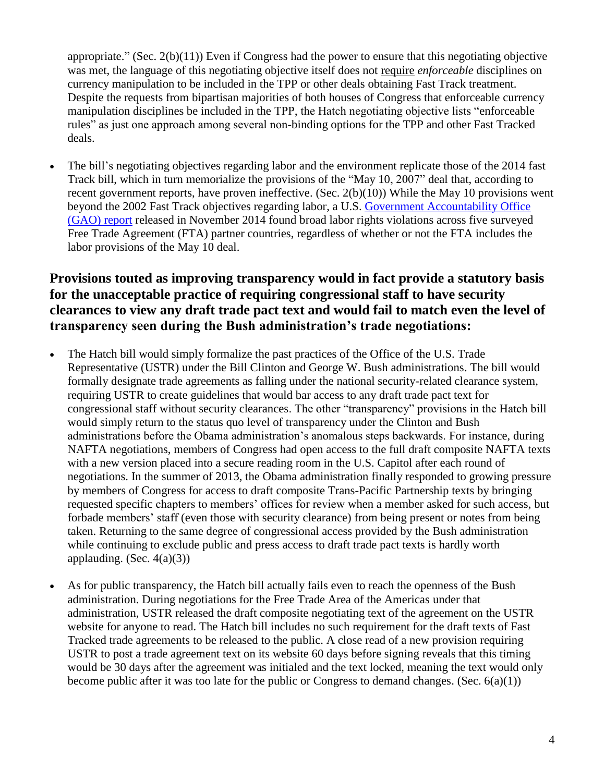appropriate." (Sec. 2(b)(11)) Even if Congress had the power to ensure that this negotiating objective was met, the language of this negotiating objective itself does not require *enforceable* disciplines on currency manipulation to be included in the TPP or other deals obtaining Fast Track treatment. Despite the requests from bipartisan majorities of both houses of Congress that enforceable currency manipulation disciplines be included in the TPP, the Hatch negotiating objective lists "enforceable rules" as just one approach among several non-binding options for the TPP and other Fast Tracked deals.

 The bill's negotiating objectives regarding labor and the environment replicate those of the 2014 fast Track bill, which in turn memorialize the provisions of the "May 10, 2007" deal that, according to recent government reports, have proven ineffective. (Sec. 2(b)(10)) While the May 10 provisions went beyond the 2002 Fast Track objectives regarding labor, a U.S. [Government Accountability Office](http://www.gao.gov/assets/670/666787.pdf)  [\(GAO\) report](http://www.gao.gov/assets/670/666787.pdf) released in November 2014 found broad labor rights violations across five surveyed Free Trade Agreement (FTA) partner countries, regardless of whether or not the FTA includes the labor provisions of the May 10 deal.

#### **Provisions touted as improving transparency would in fact provide a statutory basis for the unacceptable practice of requiring congressional staff to have security clearances to view any draft trade pact text and would fail to match even the level of transparency seen during the Bush administration's trade negotiations:**

- The Hatch bill would simply formalize the past practices of the Office of the U.S. Trade Representative (USTR) under the Bill Clinton and George W. Bush administrations. The bill would formally designate trade agreements as falling under the national security-related clearance system, requiring USTR to create guidelines that would bar access to any draft trade pact text for congressional staff without security clearances. The other "transparency" provisions in the Hatch bill would simply return to the status quo level of transparency under the Clinton and Bush administrations before the Obama administration's anomalous steps backwards. For instance, during NAFTA negotiations, members of Congress had open access to the full draft composite NAFTA texts with a new version placed into a secure reading room in the U.S. Capitol after each round of negotiations. In the summer of 2013, the Obama administration finally responded to growing pressure by members of Congress for access to draft composite Trans-Pacific Partnership texts by bringing requested specific chapters to members' offices for review when a member asked for such access, but forbade members' staff (even those with security clearance) from being present or notes from being taken. Returning to the same degree of congressional access provided by the Bush administration while continuing to exclude public and press access to draft trade pact texts is hardly worth applauding. (Sec.  $4(a)(3)$ )
- As for public transparency, the Hatch bill actually fails even to reach the openness of the Bush administration. During negotiations for the Free Trade Area of the Americas under that administration, USTR released the draft composite negotiating text of the agreement on the USTR website for anyone to read. The Hatch bill includes no such requirement for the draft texts of Fast Tracked trade agreements to be released to the public. A close read of a new provision requiring USTR to post a trade agreement text on its website 60 days before signing reveals that this timing would be 30 days after the agreement was initialed and the text locked, meaning the text would only become public after it was too late for the public or Congress to demand changes. (Sec.  $6(a)(1)$ )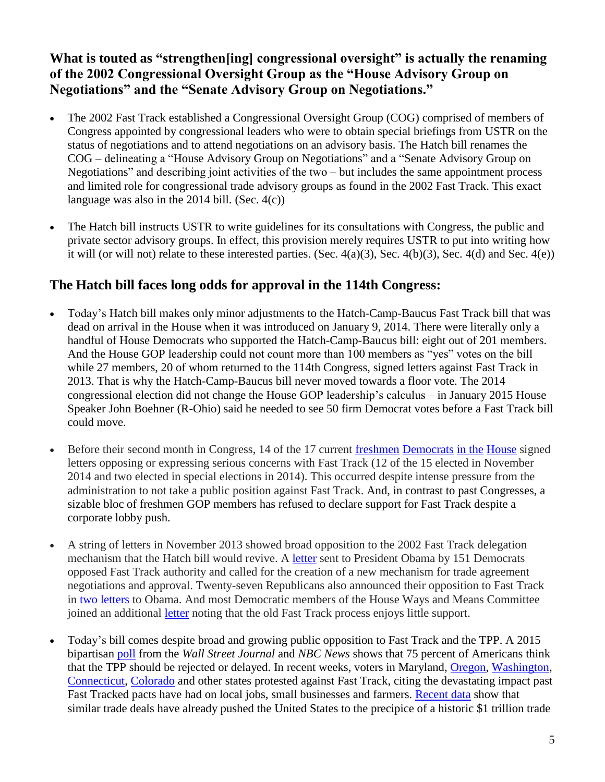# **What is touted as "strengthen[ing] congressional oversight" is actually the renaming of the 2002 Congressional Oversight Group as the "House Advisory Group on Negotiations" and the "Senate Advisory Group on Negotiations."**

- The 2002 Fast Track established a Congressional Oversight Group (COG) comprised of members of Congress appointed by congressional leaders who were to obtain special briefings from USTR on the status of negotiations and to attend negotiations on an advisory basis. The Hatch bill renames the COG – delineating a "House Advisory Group on Negotiations" and a "Senate Advisory Group on Negotiations" and describing joint activities of the two – but includes the same appointment process and limited role for congressional trade advisory groups as found in the 2002 Fast Track. This exact language was also in the 2014 bill. (Sec. 4(c))
- The Hatch bill instructs USTR to write guidelines for its consultations with Congress, the public and private sector advisory groups. In effect, this provision merely requires USTR to put into writing how it will (or will not) relate to these interested parties. (Sec. 4(a)(3), Sec. 4(b)(3), Sec. 4(d) and Sec. 4(e))

# **The Hatch bill faces long odds for approval in the 114th Congress:**

- Today's Hatch bill makes only minor adjustments to the Hatch-Camp-Baucus Fast Track bill that was dead on arrival in the House when it was introduced on January 9, 2014. There were literally only a handful of House Democrats who supported the Hatch-Camp-Baucus bill: eight out of 201 members. And the House GOP leadership could not count more than 100 members as "yes" votes on the bill while 27 members, 20 of whom returned to the 114th Congress, signed letters against Fast Track in 2013. That is why the Hatch-Camp-Baucus bill never moved towards a floor vote. The 2014 congressional election did not change the House GOP leadership's calculus – in January 2015 House Speaker John Boehner (R-Ohio) said he needed to see 50 firm Democrat votes before a Fast Track bill could move.
- Before their second month in Congress, 14 of the 17 current [freshmen](http://www.lipinski.house.gov/press-releases/rep-lipinski-opposes-giving-up-congressional-authority-and-allowing-president-to-fasttrack-international-trade-agreements/) [Democrats](http://www.citizen.org/documents/gallego-fast-track-letter-january-2015.pdf) [in the](http://www.citizen.org/documents/norcross-tpp-letter-january-2015.pdf) [House](http://www.citizen.org/documents/aguilar-moulton-torres-trade-letter-january-2015.pdf) signed letters opposing or expressing serious concerns with Fast Track (12 of the 15 elected in November 2014 and two elected in special elections in 2014). This occurred despite intense pressure from the administration to not take a public position against Fast Track. And, in contrast to past Congresses, a sizable bloc of freshmen GOP members has refused to declare support for Fast Track despite a corporate lobby push.
- A string of letters in November 2013 showed broad opposition to the 2002 Fast Track delegation mechanism that the Hatch bill would revive. A [letter](http://delauro.house.gov/index.php?option=com_content&view=article&id=1455:delauro-miller-lead-151-house-dems-telling-president-they-will-not-support-outdated-fast-track-for-trans-pacific-partnership&Itemid=21) sent to President Obama by 151 Democrats opposed Fast Track authority and called for the creation of a new mechanism for trade agreement negotiations and approval. Twenty-seven Republicans also announced their opposition to Fast Track in [two](http://jones.house.gov/sites/jones.house.gov/files/11.12.13%20Fast%20Track%20Letter_0.pdf) [letters](http://www.citizen.org/documents/joyce-fast-track-letter.pdf) to Obama. And most Democratic members of the House Ways and Means Committee joined an additional [letter](http://blumenauer.house.gov/press-releases/thompson-blumenauer-call-on-obama-administration-to-work-with-congress-on-fair-tpa-legislation-that-creates-jobs-and-grows-us-economy/) noting that the old Fast Track process enjoys little support.
- Today's bill comes despite broad and growing public opposition to Fast Track and the TPP. A 2015 bipartisan [poll](http://blogs.wsj.com/washwire/2015/01/21/poll-finds-agenda-gap-between-leaders-american-people/) from the *Wall Street Journal* and *NBC News* shows that 75 percent of Americans think that the TPP should be rejected or delayed. In recent weeks, voters in Maryland, [Oregon,](http://www.wsj.com/articles/activists-in-blimp-rv-target-sen-ron-wyden-over-trade-deal-1428444536) [Washington,](http://www.goskagit.com/all_access/demonstrators-oppose-expedited-procedure-for-international-trade-deals/article_1fb5782b-7ed8-583e-be28-faf6b942c111.html) [Connecticut,](http://www.ctpost.com/local/article/Protest-attacks-Himes-stance-on-trade-6094227.php) [Colorado](http://www.dailycamera.com/editorials/ci_27824422/editorial-jared-polis-and-free-trade) and other states protested against Fast Track, citing the devastating impact past Fast Tracked pacts have had on local jobs, small businesses and farmers. [Recent data](http://citizen.org/2014-trade-data) show that similar trade deals have already pushed the United States to the precipice of a historic \$1 trillion trade